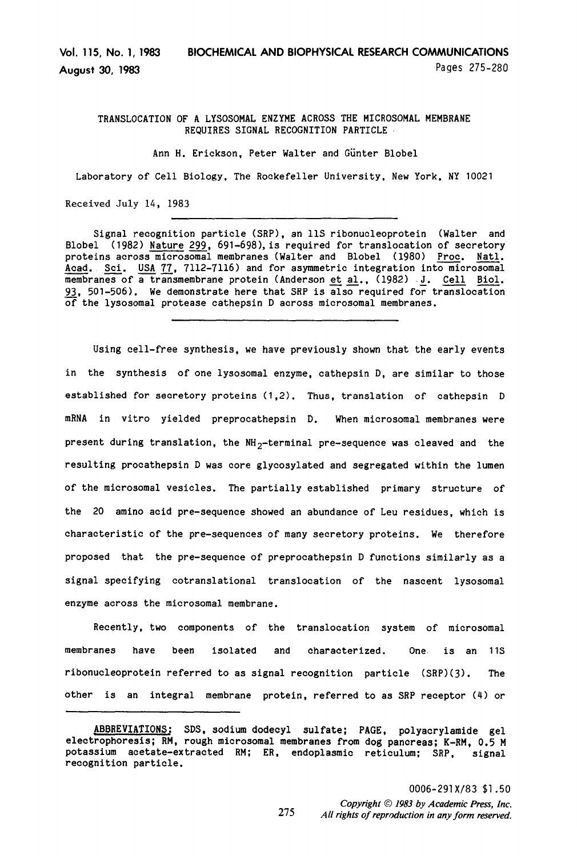Vol. 115, No. 1, 1983 BIOCHEMICAL AND BIOPHYSICAL RESEARCH COMMUNICATIONS August 30, 1983 **Pages 275-280** 

TRANSLOCATION OF A LYSOSOMAL ENZYME ACROSS THE MICROSOMAL MEMBRANE RECNJIRES SIGNAL RECOGNITION PARTICLE

Ann H. Erickson, Peter Walter and Giinter Blobel

Laboratory of Cell Biology, The Rockefeller University, New York, NY 10021

Received July 14, 1983

Signal recognition particle (SRP). an 11s ribonucleoprotein (Walter and Blobel  $(1982)$  Nature 299, 691-698), is required for translocation of secretory proteins across microsomal membranes (Walter and Blobel (1980) <u>Proc. Natinal</u><br>Acad. Sci. USA 77, 7112-7116) and for asymmetric integration into microsoma Acad. Sci. USA 77, 7112-7116) and for asymmetric integration into microso<br>membranes of a transmembrane protein (Anderson et al. (1982) J. Cell Bi 93, 501-506). We demonstrate here that SRP is also required for translocation of the lysosomal protease cathepsin D across microsomal membranes.

Using cell-free synthesis, we have previously shown that the early events in the synthesis of one lysosomal enzyme, cathepsin D, are similar to those established for secretory proteins (1,2). Thus, translation of cathepsin D mRNA in vitro yielded preprocathepsin D. When microsomal membranes were present during translation, the  $NH_2$ -terminal pre-sequence was cleaved and the resulting procathepsin D was core glycosylated and segregated within the lumen of the microsomal vesicles. The partially established primary structure of the 20 amino acid pre-sequence showed an abundance of Leu residues, which is characteristic of the pre-sequences of many secretory proteins. We therefore proposed that the pre-sequence of preprocathepsin D functions similarly as a signal specifying cotranslational translocation of the nascent lysosomal enzyme across the microsomal membrane.

Recently, two components of the translocation system of microsomal membranes have been isolated and characterized. One. is an 11s ribonucleoprotein referred to as signal recognition particle (SRP)(3). The other is an integral membrane protein, referred to as SRP receptor (4) or

ABBREVIATIONS: SDS, sodium dodecyl sulfate: PAGE. polyacrylamide gel electrophoresis; RM, rough microsomal membranes from dog pancreas; K-RM, 0.5 M potassium acetate-extracted RM; ER, endoplasmic reticulum; SRP, signal recognition particle.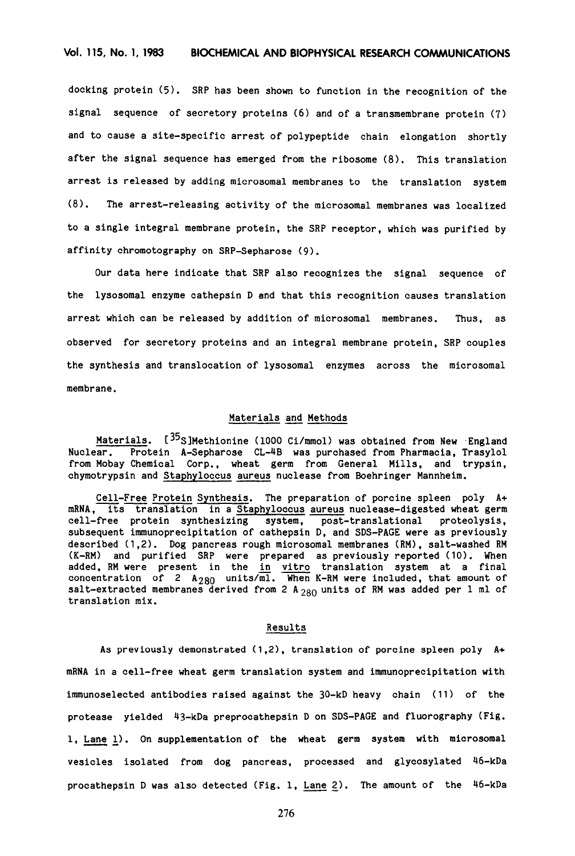docking protein (5). SRP has been shown to function in the recognition of the signal sequence of secretory proteins (6) and of a transmembrane protein (7) and to cause a site-specific arrest of polypeptide chain elongation shortly after the signal sequence has emerged from the ribosome (8). This translation arrest is released by adding microsomal membranes to the translation system (8). The arrest-releasing activity of the microsomal membranes was localized to a single integral membrane protein, the SRP receptor, which was purified by affinity chromatography on SRP-Sepharose (9).

Our data here indicate that SRP also recognizes the signal sequence of the lysosomal enzyme cathepsin D and that this recognition causes translation arrest which can be released by addition of microsomal membranes. Thus, as observed for secretory proteins and an integral membrane protein, SRP couples the synthesis and translocation of lysosomal enzymes across the microsomal membrane.

### Materials and Methods

Materials. [<sup>35</sup>S]Methionine (1000 Ci/mmol) was obtained from New England Nuclear. Protein A-Sepharose CL-4B was purchased from Pharmacia, Trasylol from Mobay Chemical Corp., wheat germ from General Mills. and trypsin, chymotrypsin and Staphyloccus aureus nuclease from Boehringer Mannheim.

Cell-Free Protein Synthesis. The preparation of porcine spleen poly A+  $mR$  ,  $\frac{1}{100}$  ,  $\frac{1}{100}$  ,  $\frac{1}{100}$  and  $\frac{1}{100}$  and  $\frac{1}{100}$  and  $\frac{1}{100}$  and  $\frac{1}{100}$  and  $\frac{1}{100}$  and  $\frac{1}{100}$  and  $\frac{1}{100}$  and  $\frac{1}{100}$  and  $\frac{1}{100}$  and  $\frac{1}{100}$  and  $\frac{1}{100}$  $\frac{1}{2}$ free protein synthesizing system, post-translational proteclysis, cell-free protein synthesizing system, post-translational proteolysis,<br>subsequent immunoprecipitation of cathepsin D, and SDS-PAGE were as previously described (1.2). Dog pancreas rough microsomal membranes (RM), salt-washed RM (K-RM) and purified SRP were prepared as previously reported (10). When added, RM were present in the in vitro translation system at a final concentration of  $2$  A<sub>280</sub> units/ $\frac{1}{2}$  When K-RM were included, that amount of  $s_{\text{obs}}$  and  $s_{\text{obs}}$  and  $s_{\text{obs}}$  and  $s_{\text{obs}}$  and  $s_{\text{obs}}$  and  $s_{\text{obs}}$  and  $s_{\text{obs}}$  and  $s_{\text{obs}}$  and  $s_{\text{obs}}$  and  $s_{\text{obs}}$  and  $s_{\text{obs}}$  and  $s_{\text{obs}}$  and  $s_{\text{obs}}$  and  $s_{\text{obs}}$  and  $s_{\text{obs}}$  and  $s_{\text{obs}}$  a translation mix.<br>translation mix.

#### Results

As previously demonstrated (1.2). translation of porcine spleen poly A+ mRNA in a cell-free wheat germ translation system and immunoprecipitation with immunoselected antibodies raised against the 30-kD heavy chain (11) of the protease yielded 4j-kDa preprocathepsin D on SDS-PAGE and fluorography (Fig. 1. Lane 1). On supplementation of the wheat germ system with microsomal vesicles isolated from dog pancreas, processed and glycosylated 46-kDa procathepsin D was also detected (Fig. 1, Lane 2). The amount of the  $46-kDa$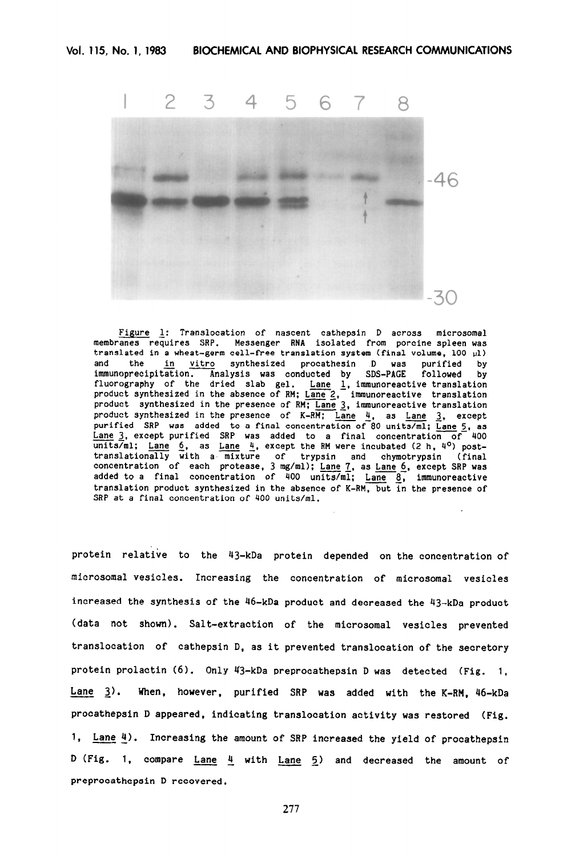

Figure 1: Translocation of nascent cathepsin D across microsomal membranes requires SRP. Messenger RNA isolated from porcine spleen was translated in a wheat-germ cell-free translation system (final volume, 100 ul) and the in vitro synthesized procathesin D was immunoprecip synthesized procathesin D was purified by Analysis was conducted by SDS-PAGE followed by fluorography of the dried slab gel. Lane 1, immunoreactive translation product synthesized in the absence of RM;  $L$ ane 2,  $-$  immunoreactive translation product synthesized in the presence of RM; <u>Lane 3</u>, immunoreactive translation -- product synthesized in the presence of K-RM; Lane 4, as Lane 3, exception purified SRP was added to a final concentration of 80 units/ml; Lane 5, as  $Lane$  3, except purified SRP was added to a final concentration of 400 units/ml; <u>Lane 6</u>, as <u>Lane 4</u>, except the RM were incubated (2 h, 4<sup>0</sup>) post-<br>translationally with a mixture of trypsin and chymotrypsin (fin concentration of each protease, 3 mg/ml); <u>Lane 7</u>, as <u>Lane 6</u>, except SRP was<br>added to a final concentration of 400 units/ml; Lane 8, immunoreactive translation product synthesized in the absence of K-RM, but in the presence of SRP at a final concentration of 400 units/ml.

protein relative to the 43-kDa protein depended on the concentration of microsomal vesicles. Increasing the concentration of microsomal vesicles increased the synthesis of the 46-kDa product and decreased the 43-kDa product (data not shown). Salt-extraction of the microsomal vesicles prevented translocation of cathepsin D, as it prevented translocation of the secretory protein prolactin (6). Only 43-kDa preprocathepsin D was detected (Fig. 1, Lane 3). When, however, purified SRP was added with the K-RM. 46-kDa procathepsin D appeared, indicating translocation activity was restored (Fig. 1, Lane 4). Increasing the amount of SRP increased the yield of procathepsin D (Fig. 1, compare  $lane 4$  with  $lane 5$  and decreased the amount of</u></u> preprocathepsin D recovered.

277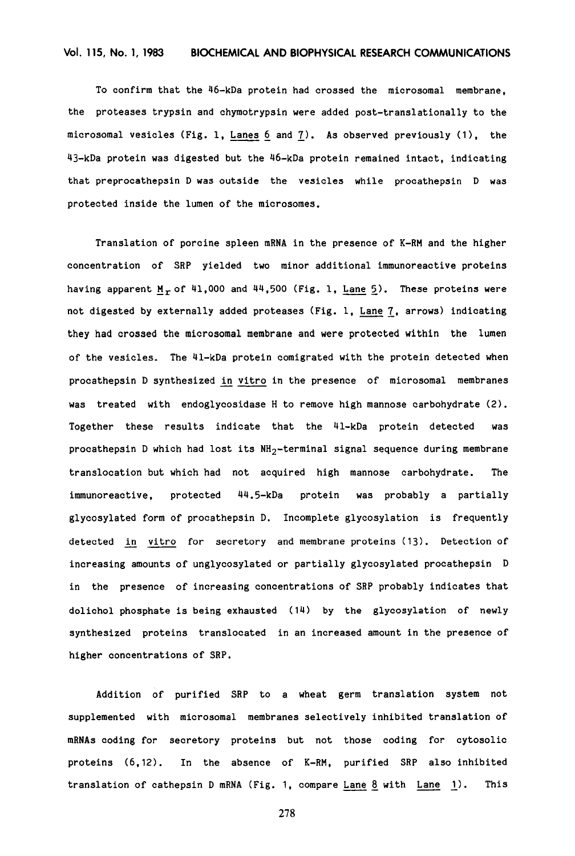To confirm that the 46-kDa protein had crossed the microsomal membrane, the proteases trypsin and chymotrypsin were added post-translationally to the microsomal vesicles (Fig. 1, <u>Lanes 6</u> and <u>7</u>). As observed previously (1), the 43-kDa protein was digested but the 46-kDa protein remained intact, indicating that preprocathepsin D was outside the vesicles while procathepsin D was protected inside the lumen of the microsomes.

Translation of porcine spleen mRNA in the presence of K-RM and the higher concentration of SRP yielded two minor additional immunoreactive proteins having apparent  $M_r$  of 41,000 and 44,500 (Fig. 1, Lane 5). These proteins were not digested by externally added proteases (Fig. 1, Lane 7, arrows) indicat they had crossed the microsomal membrane and were protected within the lumen of the vesicles. The 41-kDa protein comigrated with the protein detected when procathepsin D synthesized in vitro in the presence of microsomal membranes was treated with endoglycosidase H to remove high mannose carbohydrate (2). Together these results indicate that the 41-kDa protein detected was procathepsin D which had lost its NH<sub>2</sub>-terminal signal sequence during membrane translocation but which had not acquired high mannose carbohydrate. The immunoreactive, protected 44.5-kDa protein was probably a partially glycosylated form of procathepsin D. Incomplete glycosylation is frequently detected in vitro for secretory and membrane proteins (13). Detection of increasing amounts of unglycosylated or partially glycosylated procathepsin D in the presence of increasing concentrations of SRP probably indicates that dolichol phosphate is being exhausted (14) by the glycosylation of newly synthesized proteins translocated in an increased amount in the presence of higher concentrations of SRP.

Addition of purified SRP to a wheat germ translation system not supplemented with microsomal membranes selectively inhibited translation of mRNAs coding for secretory proteins but not those coding for cytosolic proteins (6.12). In the absence of K-RM, purified SRP also inhibited translation of cathersin D mBNA (Fig. 1, compare Lane 8 with Lane 1). This

278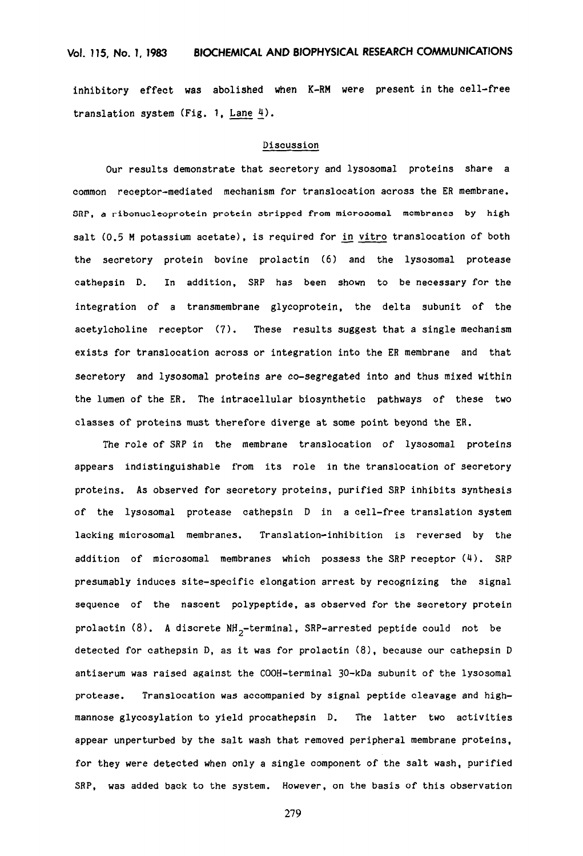inhibitory effect was abolished when K-RM were present in the cell-free translation system (Fig. 1, Lane  $4$ ).

### Discussion

Our results demonstrate that secretory and lysosomal proteins share a common receptor-mediated mechanism for translocation across the ER membrane. SRP, a ribonucleoprotein protein stripped from microsomal membranes by high salt (0.5 M potassium acetate), is required for in vitro translocation of both the secretory protein bovine prolactin (6) and the lysosomal protease cathepsin D. In addition, SRP has been shown to be necessary for the integration of a transmembrane glycoprotein, the delta subunit of the acetylcholine receptor (7). These results suggest that a single mechanism exists for translocation across or integration into the ER membrane and that secretory and lysosomal proteins are co-segregated into and thus mixed within the lumen of the ER. The intracellular biosynthetic pathways of these two classes of proteins must therefore diverge at some point beyond the ER.

The role of SRP in the membrane translocation of lysosomal proteins appears indistinguishable from its role in the translocation of secretory proteins. As observed for secretory proteins, purified SRP inhibits synthesis of the lysosomal protease cathepsin D in a cell-free translation system lacking microsomal membranes. Translation-inhibition is reversed by the addition of microsomal membranes which possess the SRP receptor (4). SRP presumably induces site-specific elongation arrest by recognizing the signal sequence of the nascent polypeptide, as observed for the secretory protein prolactin (8). A discrete  $NH_{2}$ -terminal, SRP-arrested peptide could not be detected for cathepsin D, as it was for prolactin (8), because our cathepsin D antiserum was raised against the COOH-terminal 30-kDa subunit of the lysosomal protease. Translocation was accompanied by signal peptide cleavage and highmannose glycosylation to yield procathepsin D. The latter two activities SRP, was added back to the system. However, on the basis of this observation

279